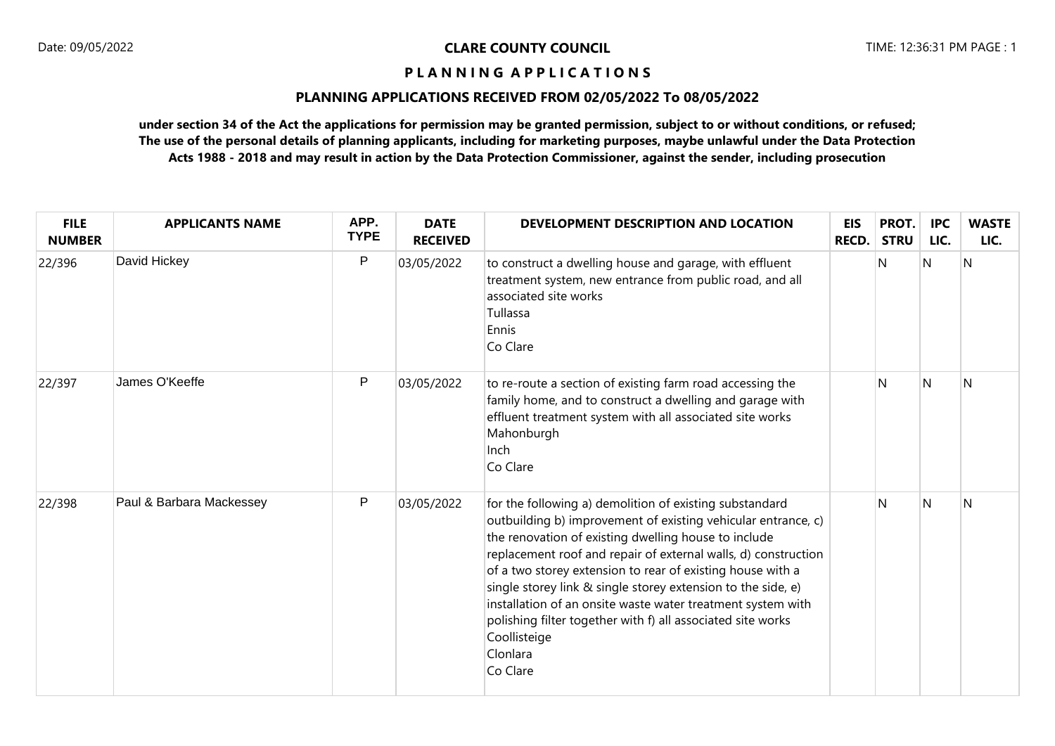# **PLANNING APPLICATIONS RECEIVED FROM 02/05/2022 To 08/05/2022**

| <b>FILE</b><br><b>NUMBER</b> | <b>APPLICANTS NAME</b>   | APP.<br><b>TYPE</b> | <b>DATE</b><br><b>RECEIVED</b> | DEVELOPMENT DESCRIPTION AND LOCATION                                                                                                                                                                                                                                                                                                                                                                                                                                                                                                                   | <b>EIS</b><br><b>RECD.</b> | PROT.<br><b>STRU</b> | <b>IPC</b><br>LIC. | <b>WASTE</b><br>LIC. |
|------------------------------|--------------------------|---------------------|--------------------------------|--------------------------------------------------------------------------------------------------------------------------------------------------------------------------------------------------------------------------------------------------------------------------------------------------------------------------------------------------------------------------------------------------------------------------------------------------------------------------------------------------------------------------------------------------------|----------------------------|----------------------|--------------------|----------------------|
| 22/396                       | David Hickey             | P                   | 03/05/2022                     | to construct a dwelling house and garage, with effluent<br>treatment system, new entrance from public road, and all<br>associated site works<br>Tullassa<br>Ennis<br>Co Clare                                                                                                                                                                                                                                                                                                                                                                          |                            | N                    | N                  | N                    |
| 22/397                       | James O'Keeffe           | P                   | 03/05/2022                     | to re-route a section of existing farm road accessing the<br>family home, and to construct a dwelling and garage with<br>effluent treatment system with all associated site works<br>Mahonburgh<br>Inch<br>Co Clare                                                                                                                                                                                                                                                                                                                                    |                            | N                    | N                  | N                    |
| 22/398                       | Paul & Barbara Mackessey | P                   | 03/05/2022                     | for the following a) demolition of existing substandard<br>outbuilding b) improvement of existing vehicular entrance, c)<br>the renovation of existing dwelling house to include<br>replacement roof and repair of external walls, d) construction<br>of a two storey extension to rear of existing house with a<br>single storey link & single storey extension to the side, e)<br>installation of an onsite waste water treatment system with<br>polishing filter together with f) all associated site works<br>Coollisteige<br>Clonlara<br>Co Clare |                            | N                    | N                  | N                    |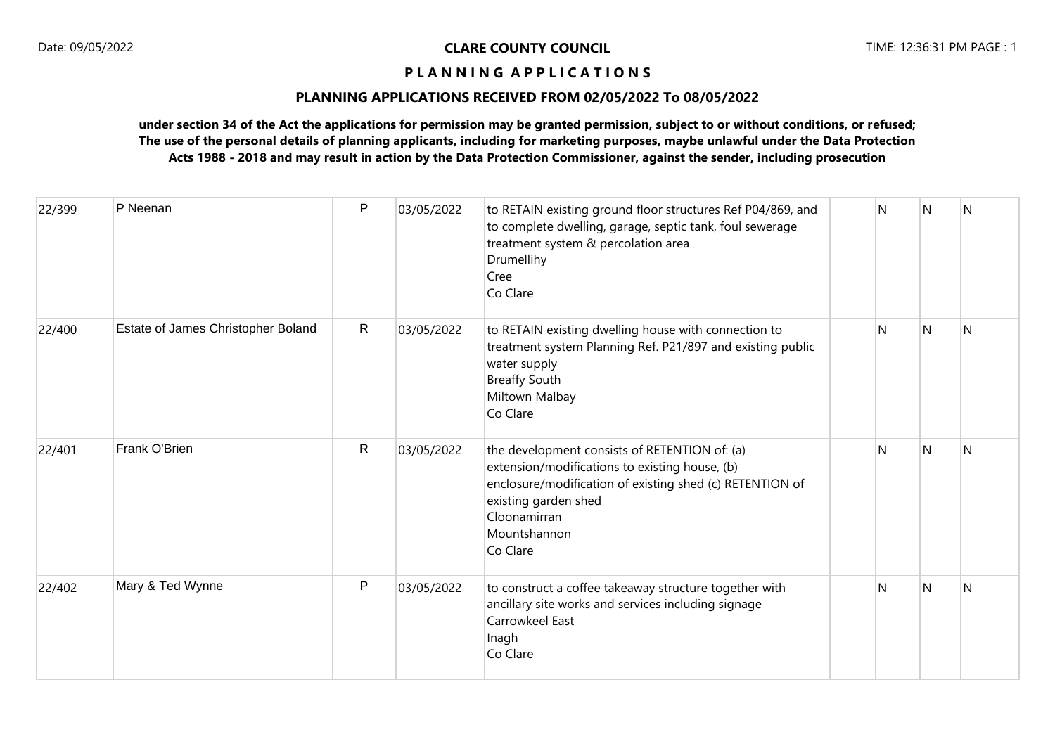# **PLANNING APPLICATIONS RECEIVED FROM 02/05/2022 To 08/05/2022**

| 22/399 | P Neenan                           | P            | 03/05/2022 | to RETAIN existing ground floor structures Ref P04/869, and<br>to complete dwelling, garage, septic tank, foul sewerage<br>treatment system & percolation area<br>Drumellihy<br>Cree<br>Co Clare                                | N | N              | N |
|--------|------------------------------------|--------------|------------|---------------------------------------------------------------------------------------------------------------------------------------------------------------------------------------------------------------------------------|---|----------------|---|
| 22/400 | Estate of James Christopher Boland | $\mathsf{R}$ | 03/05/2022 | to RETAIN existing dwelling house with connection to<br>treatment system Planning Ref. P21/897 and existing public<br>water supply<br><b>Breaffy South</b><br>Miltown Malbay<br>Co Clare                                        | N | $\overline{N}$ | N |
| 22/401 | Frank O'Brien                      | $\mathsf{R}$ | 03/05/2022 | the development consists of RETENTION of: (a)<br>extension/modifications to existing house, (b)<br>enclosure/modification of existing shed (c) RETENTION of<br>existing garden shed<br>Cloonamirran<br>Mountshannon<br>Co Clare | N | $\overline{N}$ | N |
| 22/402 | Mary & Ted Wynne                   | P            | 03/05/2022 | to construct a coffee takeaway structure together with<br>ancillary site works and services including signage<br>Carrowkeel East<br>Inagh<br>Co Clare                                                                           | N | <sup>N</sup>   | N |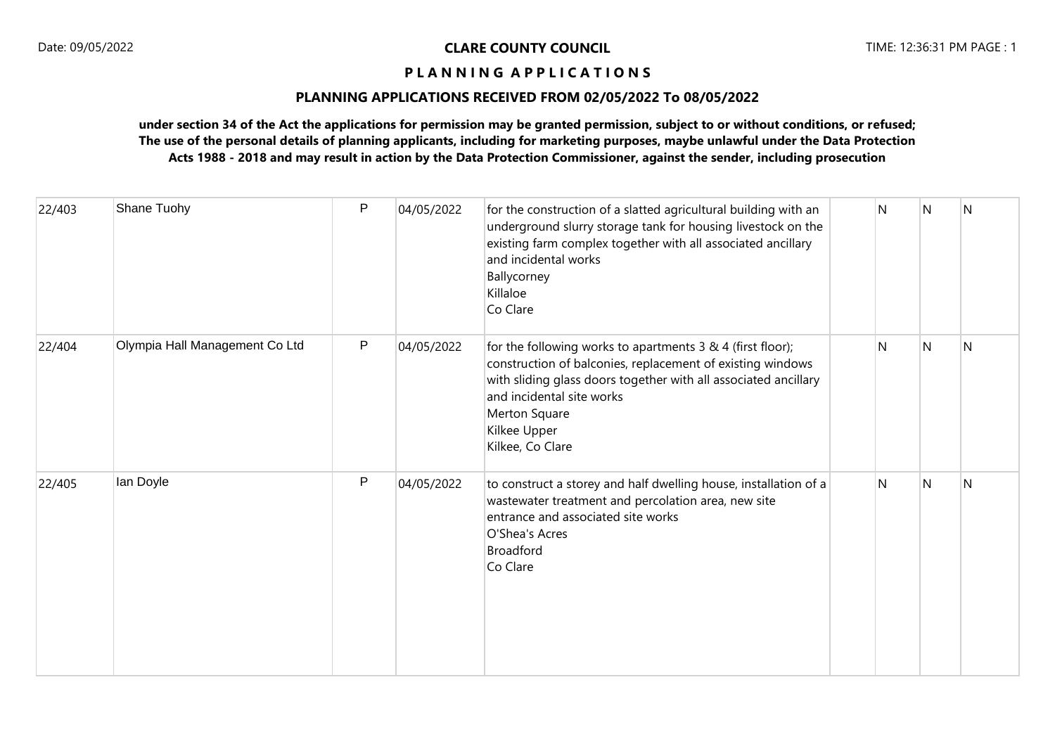# **PLANNING APPLICATIONS RECEIVED FROM 02/05/2022 To 08/05/2022**

| 22/403 | Shane Tuohy                    | P | 04/05/2022 | for the construction of a slatted agricultural building with an<br>underground slurry storage tank for housing livestock on the<br>existing farm complex together with all associated ancillary<br>and incidental works<br>Ballycorney<br>Killaloe<br>Co Clare                | N | N              | N            |
|--------|--------------------------------|---|------------|-------------------------------------------------------------------------------------------------------------------------------------------------------------------------------------------------------------------------------------------------------------------------------|---|----------------|--------------|
| 22/404 | Olympia Hall Management Co Ltd | P | 04/05/2022 | for the following works to apartments 3 & 4 (first floor);<br>construction of balconies, replacement of existing windows<br>with sliding glass doors together with all associated ancillary<br>and incidental site works<br>Merton Square<br>Kilkee Upper<br>Kilkee, Co Clare | N | $\overline{N}$ | N            |
| 22/405 | lan Doyle                      | P | 04/05/2022 | to construct a storey and half dwelling house, installation of a<br>wastewater treatment and percolation area, new site<br>entrance and associated site works<br>O'Shea's Acres<br><b>Broadford</b><br>Co Clare                                                               | N | N              | $\mathsf{N}$ |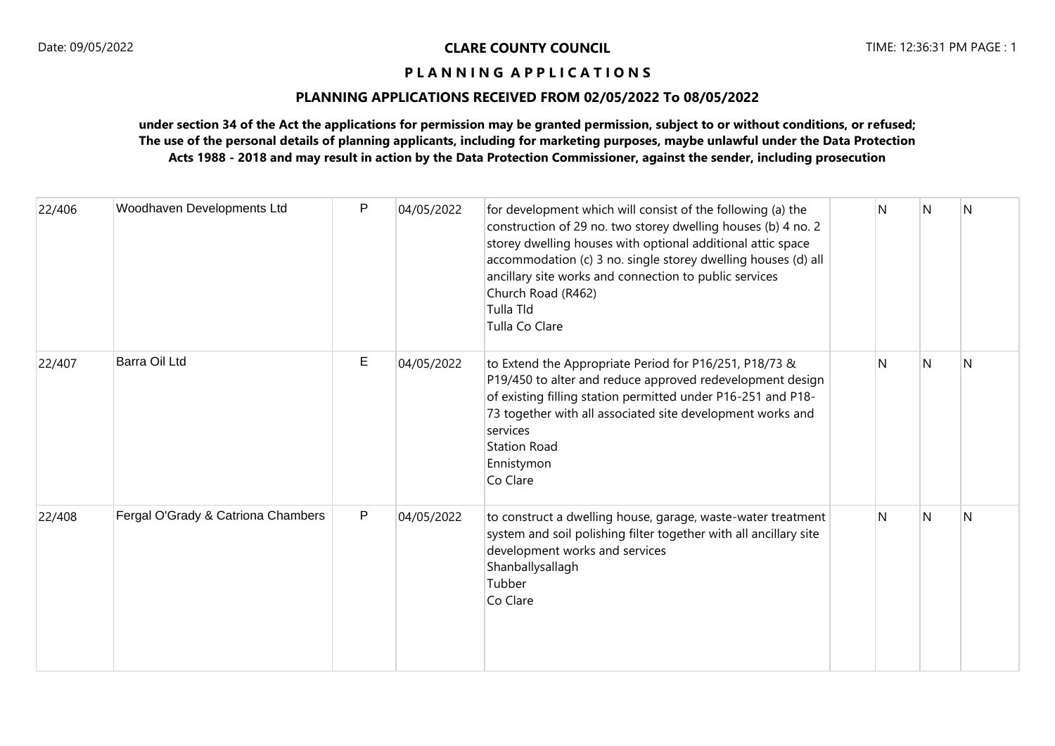# **PLANNING APPLICATIONS RECEIVED FROM 02/05/2022 To 08/05/2022**

| 22/406 | Woodhaven Developments Ltd         | P | 04/05/2022 | for development which will consist of the following (a) the<br>construction of 29 no. two storey dwelling houses (b) 4 no. 2<br>storey dwelling houses with optional additional attic space<br>accommodation (c) 3 no. single storey dwelling houses (d) all<br>ancillary site works and connection to public services<br>Church Road (R462)<br>Tulla Tld<br>Tulla Co Clare | N | N | N |
|--------|------------------------------------|---|------------|-----------------------------------------------------------------------------------------------------------------------------------------------------------------------------------------------------------------------------------------------------------------------------------------------------------------------------------------------------------------------------|---|---|---|
| 22/407 | Barra Oil Ltd                      | E | 04/05/2022 | to Extend the Appropriate Period for P16/251, P18/73 &<br>P19/450 to alter and reduce approved redevelopment design<br>of existing filling station permitted under P16-251 and P18-<br>73 together with all associated site development works and<br>services<br><b>Station Road</b><br>Ennistymon<br>Co Clare                                                              | N | N | N |
| 22/408 | Fergal O'Grady & Catriona Chambers | P | 04/05/2022 | to construct a dwelling house, garage, waste-water treatment<br>system and soil polishing filter together with all ancillary site<br>development works and services<br>Shanballysallagh<br>Tubber<br>Co Clare                                                                                                                                                               | N | N | N |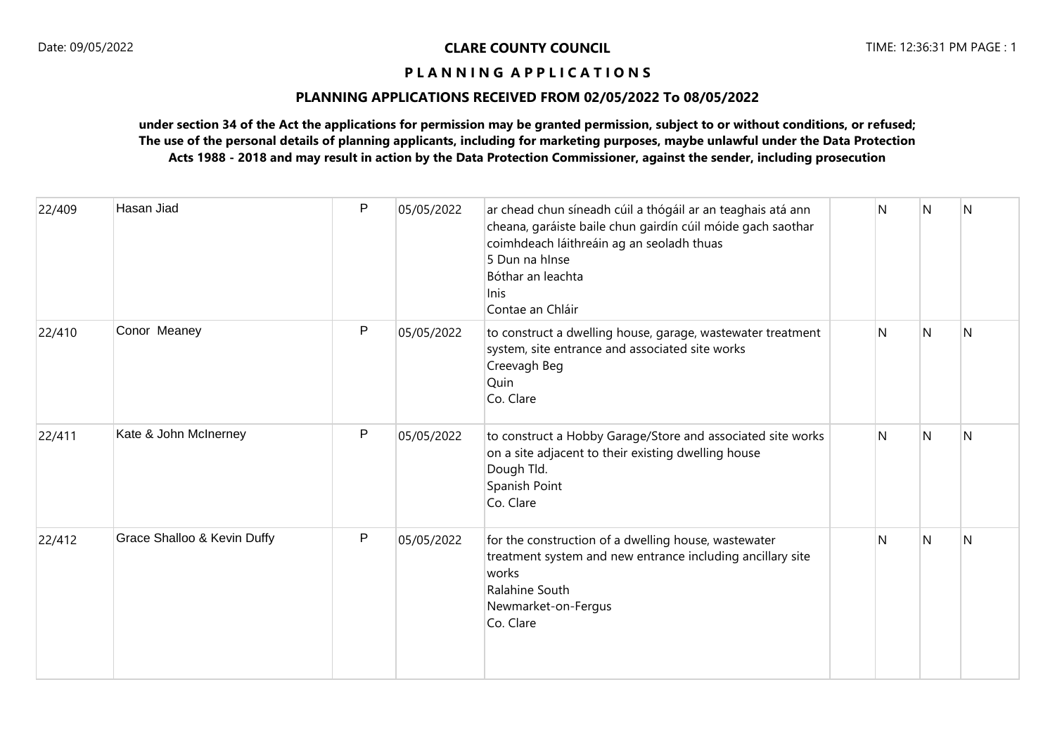# **PLANNING APPLICATIONS RECEIVED FROM 02/05/2022 To 08/05/2022**

| 22/409 | Hasan Jiad                  | P | 05/05/2022 | ar chead chun síneadh cúil a thógáil ar an teaghais atá ann<br>cheana, garáiste baile chun gairdín cúil móide gach saothar<br>coimhdeach láithreáin ag an seoladh thuas<br>5 Dun na hInse<br>Bóthar an leachta<br><b>Inis</b><br>Contae an Chláir | N | N            | $\overline{N}$ |
|--------|-----------------------------|---|------------|---------------------------------------------------------------------------------------------------------------------------------------------------------------------------------------------------------------------------------------------------|---|--------------|----------------|
| 22/410 | Conor Meaney                | P | 05/05/2022 | to construct a dwelling house, garage, wastewater treatment<br>system, site entrance and associated site works<br>Creevagh Beg<br>Quin<br>Co. Clare                                                                                               | N | <sup>N</sup> | IN.            |
| 22/411 | Kate & John McInerney       | P | 05/05/2022 | to construct a Hobby Garage/Store and associated site works<br>on a site adjacent to their existing dwelling house<br>Dough Tld.<br>Spanish Point<br>Co. Clare                                                                                    | N | N            | $\overline{N}$ |
| 22/412 | Grace Shalloo & Kevin Duffy | P | 05/05/2022 | for the construction of a dwelling house, wastewater<br>treatment system and new entrance including ancillary site<br>works<br>Ralahine South<br>Newmarket-on-Fergus<br>Co. Clare                                                                 | N | N            | N              |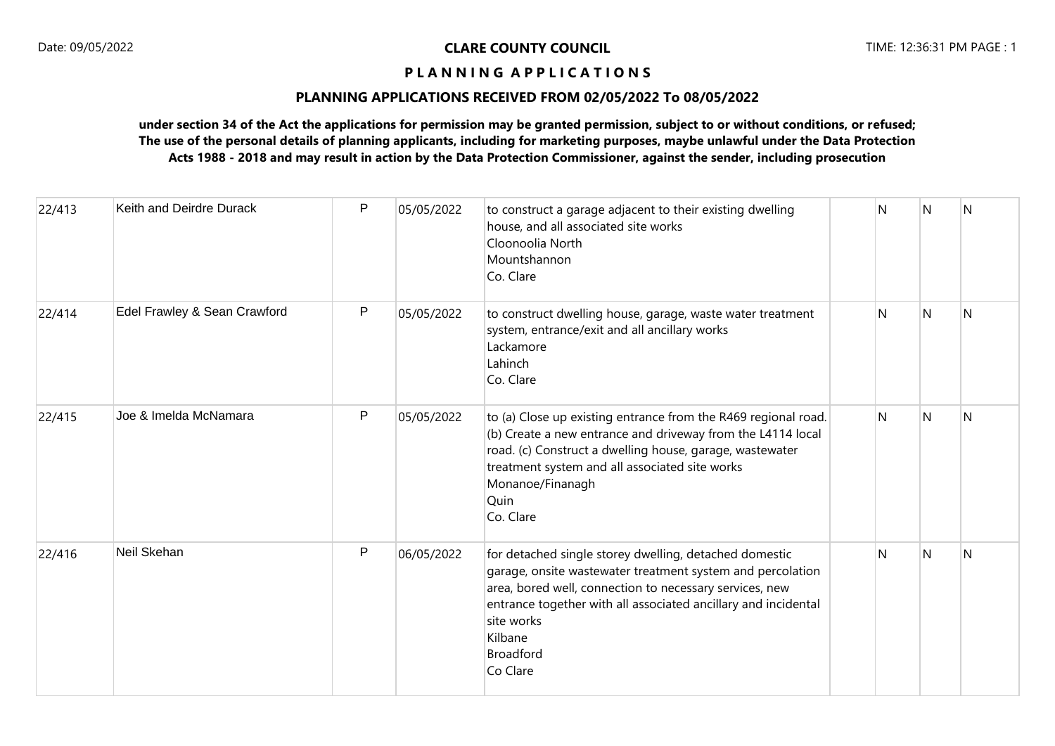# **PLANNING APPLICATIONS RECEIVED FROM 02/05/2022 To 08/05/2022**

| 22/413 | Keith and Deirdre Durack     | P            | 05/05/2022 | to construct a garage adjacent to their existing dwelling<br>house, and all associated site works<br>Cloonoolia North<br>Mountshannon<br>Co. Clare                                                                                                                                                         | N | N | N |
|--------|------------------------------|--------------|------------|------------------------------------------------------------------------------------------------------------------------------------------------------------------------------------------------------------------------------------------------------------------------------------------------------------|---|---|---|
| 22/414 | Edel Frawley & Sean Crawford | P            | 05/05/2022 | to construct dwelling house, garage, waste water treatment<br>system, entrance/exit and all ancillary works<br>Lackamore<br>Lahinch<br>Co. Clare                                                                                                                                                           | N | N | N |
| 22/415 | Joe & Imelda McNamara        | $\mathsf{P}$ | 05/05/2022 | to (a) Close up existing entrance from the R469 regional road.<br>(b) Create a new entrance and driveway from the L4114 local<br>road. (c) Construct a dwelling house, garage, wastewater<br>treatment system and all associated site works<br>Monanoe/Finanagh<br>Quin<br>Co. Clare                       | N | N | N |
| 22/416 | Neil Skehan                  | P            | 06/05/2022 | for detached single storey dwelling, detached domestic<br>garage, onsite wastewater treatment system and percolation<br>area, bored well, connection to necessary services, new<br>entrance together with all associated ancillary and incidental<br>site works<br>Kilbane<br><b>Broadford</b><br>Co Clare | N | N | N |